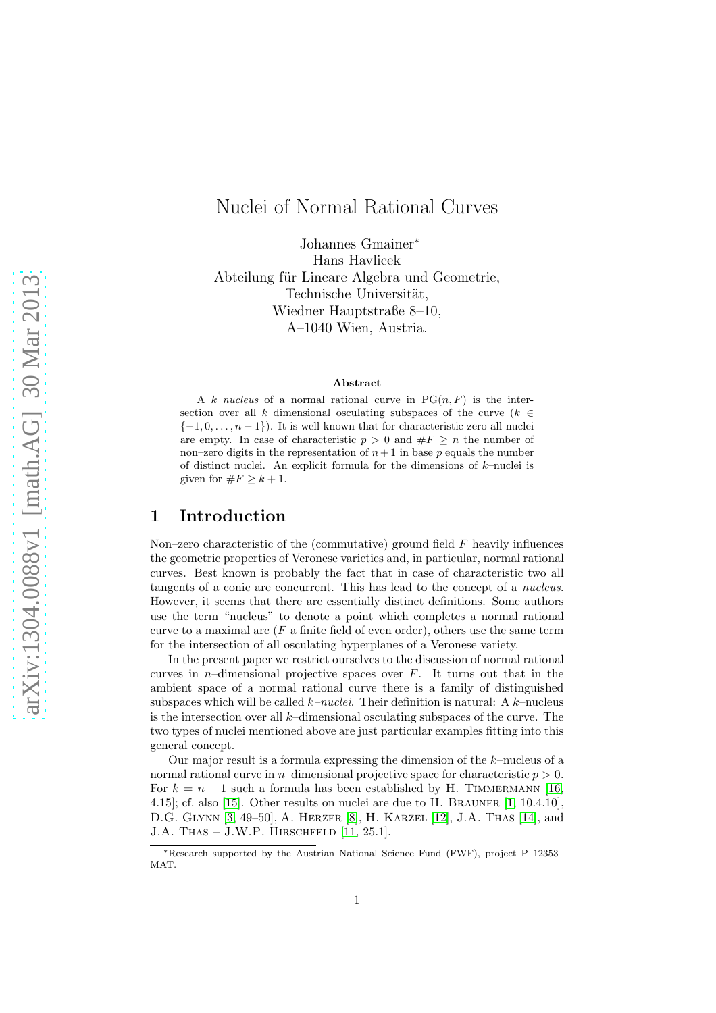# Nuclei of Normal Rational Curves

Johannes Gmainer<sup>∗</sup> Hans Havlicek Abteilung für Lineare Algebra und Geometrie, Technische Universität, Wiedner Hauptstraße 8–10, A–1040 Wien, Austria.

#### Abstract

A k–nucleus of a normal rational curve in  $PG(n, F)$  is the intersection over all k–dimensional osculating subspaces of the curve ( $k \in$  $\{-1, 0, \ldots, n-1\}$ . It is well known that for characteristic zero all nuclei are empty. In case of characteristic  $p > 0$  and  $\#F \geq n$  the number of non–zero digits in the representation of  $n+1$  in base p equals the number of distinct nuclei. An explicit formula for the dimensions of  $k$ -nuclei is given for  $\#F \geq k+1$ .

## 1 Introduction

Non–zero characteristic of the (commutative) ground field  $F$  heavily influences the geometric properties of Veronese varieties and, in particular, normal rational curves. Best known is probably the fact that in case of characteristic two all tangents of a conic are concurrent. This has lead to the concept of a nucleus. However, it seems that there are essentially distinct definitions. Some authors use the term "nucleus" to denote a point which completes a normal rational curve to a maximal arc  $(F$  a finite field of even order), others use the same term for the intersection of all osculating hyperplanes of a Veronese variety.

In the present paper we restrict ourselves to the discussion of normal rational curves in *n*–dimensional projective spaces over  $F$ . It turns out that in the ambient space of a normal rational curve there is a family of distinguished subspaces which will be called  $k$ –nuclei. Their definition is natural: A  $k$ –nucleus is the intersection over all  $k$ -dimensional osculating subspaces of the curve. The two types of nuclei mentioned above are just particular examples fitting into this general concept.

Our major result is a formula expressing the dimension of the  $k$ -nucleus of a normal rational curve in *n*–dimensional projective space for characteristic  $p > 0$ . For  $k = n - 1$  such a formula has been established by H. TIMMERMANN [\[16,](#page-12-0) 4.15]; cf. also [\[15\]](#page-12-1). Other results on nuclei are due to H. BRAUNER  $[1, 10.4.10]$  $[1, 10.4.10]$ , D.G. Glynn [\[3,](#page-12-2) 49–50], A. Herzer [\[8\]](#page-12-3), H. Karzel [\[12\]](#page-12-4), J.A. Thas [\[14\]](#page-12-5), and J.A. THAS  $-$  J.W.P. HIRSCHFELD [\[11,](#page-12-6) 25.1].

<sup>∗</sup>Research supported by the Austrian National Science Fund (FWF), project P–12353– MAT.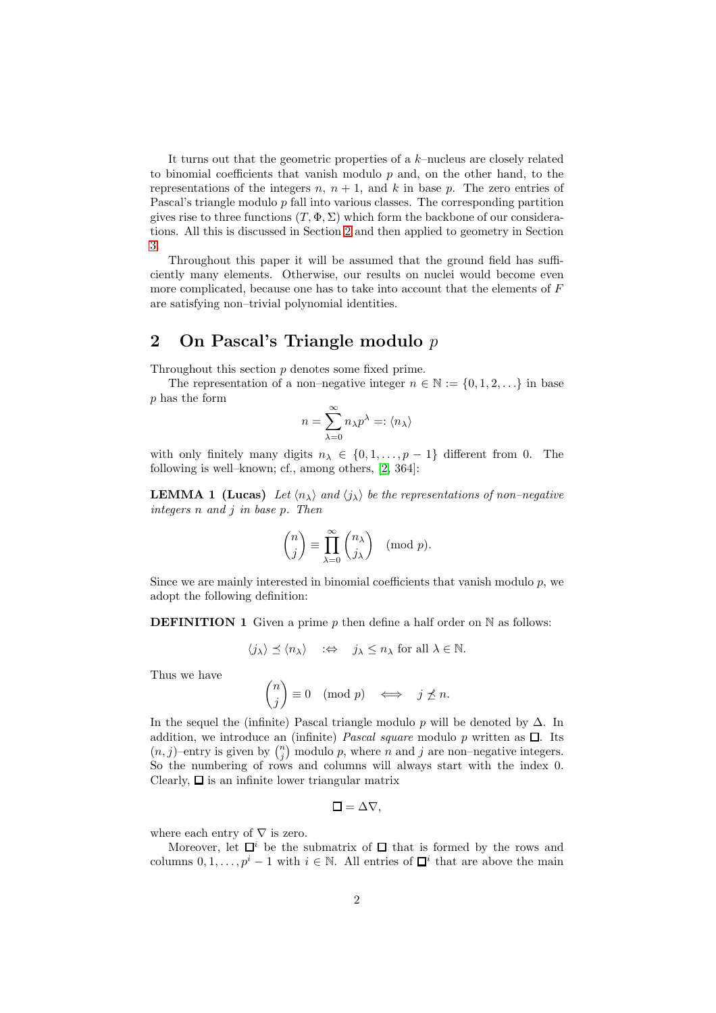It turns out that the geometric properties of a k–nucleus are closely related to binomial coefficients that vanish modulo  $p$  and, on the other hand, to the representations of the integers n,  $n + 1$ , and k in base p. The zero entries of Pascal's triangle modulo  $p$  fall into various classes. The corresponding partition gives rise to three functions  $(T, \Phi, \Sigma)$  which form the backbone of our considerations. All this is discussed in Section [2](#page-1-0) and then applied to geometry in Section [3.](#page-6-0)

Throughout this paper it will be assumed that the ground field has sufficiently many elements. Otherwise, our results on nuclei would become even more complicated, because one has to take into account that the elements of  $F$ are satisfying non–trivial polynomial identities.

# <span id="page-1-0"></span>2 On Pascal's Triangle modulo p

Throughout this section p denotes some fixed prime.

The representation of a non–negative integer  $n \in \mathbb{N} := \{0, 1, 2, \ldots\}$  in base p has the form

$$
n=\sum_{\lambda=0}^\infty n_\lambda p^\lambda=:\langle n_\lambda\rangle
$$

<span id="page-1-1"></span>with only finitely many digits  $n_{\lambda} \in \{0, 1, ..., p-1\}$  different from 0. The following is well–known; cf., among others, [\[2,](#page-11-1) 364]:

**LEMMA 1 (Lucas)** Let  $\langle n_{\lambda} \rangle$  and  $\langle j_{\lambda} \rangle$  be the representations of non–negative integers n and j in base p. Then

$$
\binom{n}{j} \equiv \prod_{\lambda=0}^{\infty} \binom{n_{\lambda}}{j_{\lambda}} \pmod{p}.
$$

Since we are mainly interested in binomial coefficients that vanish modulo  $p$ , we adopt the following definition:

**DEFINITION 1** Given a prime p then define a half order on  $\mathbb N$  as follows:

 $\langle j_{\lambda} \rangle \preceq \langle n_{\lambda} \rangle \quad : \Leftrightarrow \quad j_{\lambda} \leq n_{\lambda} \text{ for all } \lambda \in \mathbb{N}.$ 

Thus we have

$$
\binom{n}{j} \equiv 0 \pmod{p} \iff j \not\preceq n.
$$

In the sequel the (infinite) Pascal triangle modulo p will be denoted by  $\Delta$ . In addition, we introduce an (infinite) *Pascal square* modulo p written as  $\Box$ . Its  $(n, j)$ –entry is given by  $\binom{n}{j}$  modulo p, where n and j are non–negative integers. So the numbering of rows and columns will always start with the index 0. Clearly,  $\square$  is an infinite lower triangular matrix

$$
\square = \Delta \nabla,
$$

where each entry of  $\nabla$  is zero.

Moreover, let  $\Box^i$  be the submatrix of  $\Box$  that is formed by the rows and columns  $0, 1, \ldots, p^i - 1$  with  $i \in \mathbb{N}$ . All entries of  $\Box^i$  that are above the main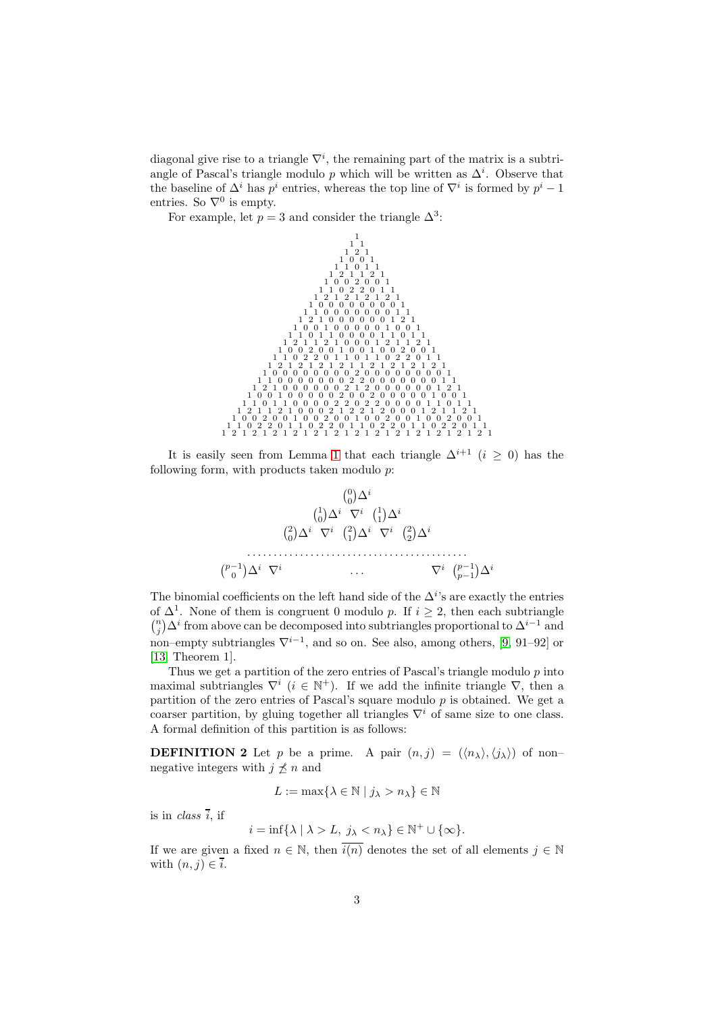diagonal give rise to a triangle  $\nabla^i$ , the remaining part of the matrix is a subtriangle of Pascal's triangle modulo p which will be written as  $\Delta^i$ . Observe that the baseline of  $\Delta^i$  has  $p^i$  entries, whereas the top line of  $\nabla^i$  is formed by  $p^i-1$ entries. So  $\nabla^0$  is empty.

For example, let  $p = 3$  and consider the triangle  $\Delta^3$ :



It is easily seen from Lemma [1](#page-1-1) that each triangle  $\Delta^{i+1}$   $(i > 0)$  has the following form, with products taken modulo  $p$ .



The binomial coefficients on the left hand side of the  $\Delta^{i}$ 's are exactly the entries of  $\Delta^1$ . None of them is congruent 0 modulo p. If  $i \geq 2$ , then each subtriangle  $\binom{n}{j} \Delta^i$  from above can be decomposed into subtriangles proportional to  $\Delta^{i-1}$  and non–empty subtriangles  $\nabla^{i-1}$ , and so on. See also, among others, [\[9,](#page-12-7) 91–92] or [\[13,](#page-12-8) Theorem 1].

Thus we get a partition of the zero entries of Pascal's triangle modulo  $p$  into maximal subtriangles  $\nabla^i$  ( $i \in \mathbb{N}^+$ ). If we add the infinite triangle  $\nabla$ , then a partition of the zero entries of Pascal's square modulo  $p$  is obtained. We get a coarser partition, by gluing together all triangles  $\nabla^i$  of same size to one class. A formal definition of this partition is as follows:

**DEFINITION 2** Let p be a prime. A pair  $(n, j) = (\langle n_{\lambda} \rangle, \langle j_{\lambda} \rangle)$  of non– negative integers with  $j \nleq n$  and

$$
L := \max\{\lambda \in \mathbb{N} \mid j_{\lambda} > n_{\lambda}\} \in \mathbb{N}
$$

is in *class*  $\overline{i}$ , if

$$
i = \inf \{ \lambda \mid \lambda > L, \ j_{\lambda} < n_{\lambda} \} \in \mathbb{N}^+ \cup \{ \infty \}.
$$

If we are given a fixed  $n \in \mathbb{N}$ , then  $\overline{i(n)}$  denotes the set of all elements  $j \in \mathbb{N}$ with  $(n, j) \in \overline{i}$ .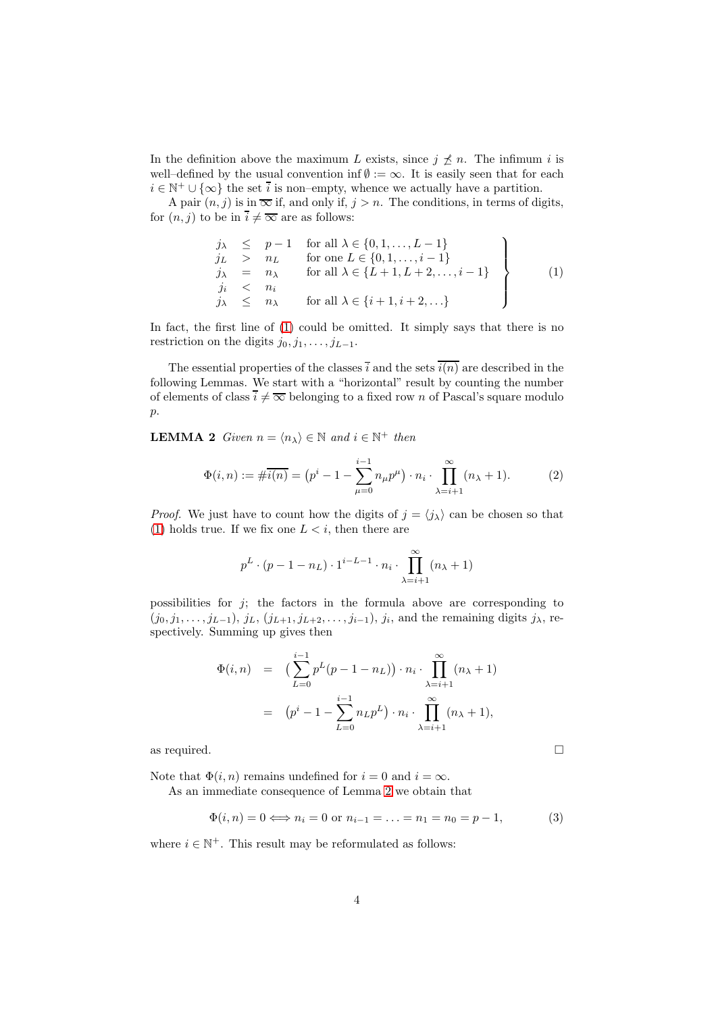In the definition above the maximum L exists, since  $j \nleq n$ . The infimum i is well–defined by the usual convention inf  $\emptyset := \infty$ . It is easily seen that for each  $i \in \mathbb{N}^+ \cup \{\infty\}$  the set  $\overline{i}$  is non–empty, whence we actually have a partition.

A pair  $(n, j)$  is in  $\overline{\infty}$  if, and only if,  $j > n$ . The conditions, in terms of digits, for  $(n, j)$  to be in  $\overline{i} \neq \overline{\infty}$  are as follows:

<span id="page-3-0"></span>
$$
\begin{array}{rcl}\nj_{\lambda} & \leq & p-1 \quad \text{for all } \lambda \in \{0, 1, \dots, L-1\} \\
j_{L} & > & n_{L} \quad \text{for one } L \in \{0, 1, \dots, i-1\} \\
j_{\lambda} & = & n_{\lambda} \quad \text{for all } \lambda \in \{L+1, L+2, \dots, i-1\} \\
j_{\lambda} & \leq & n_{\lambda} \quad \text{for all } \lambda \in \{i+1, i+2, \dots\}\n\end{array}\n\tag{1}
$$

In fact, the first line of [\(1\)](#page-3-0) could be omitted. It simply says that there is no restriction on the digits  $j_0, j_1, \ldots, j_{L-1}$ .

The essential properties of the classes i and the sets  $\overline{i(n)}$  are described in the following Lemmas. We start with a "horizontal" result by counting the number of elements of class  $\overline{i} \neq \overline{\infty}$  belonging to a fixed row n of Pascal's square modulo p.

<span id="page-3-1"></span>**LEMMA 2** Given  $n = \langle n_{\lambda} \rangle \in \mathbb{N}$  and  $i \in \mathbb{N}^+$  then

<span id="page-3-4"></span>
$$
\Phi(i,n) := \#\overline{i(n)} = (p^i - 1 - \sum_{\mu=0}^{i-1} n_{\mu} p^{\mu}) \cdot n_i \cdot \prod_{\lambda=i+1}^{\infty} (n_{\lambda} + 1).
$$
 (2)

*Proof.* We just have to count how the digits of  $j = \langle j_{\lambda} \rangle$  can be chosen so that [\(1\)](#page-3-0) holds true. If we fix one  $L < i$ , then there are

$$
p^{L} \cdot (p-1-n_{L}) \cdot 1^{i-L-1} \cdot n_{i} \cdot \prod_{\lambda=i+1}^{\infty} (n_{\lambda}+1)
$$

possibilities for  $j$ ; the factors in the formula above are corresponding to  $(j_0, j_1, \ldots, j_{L-1}), j_L, (j_{L+1}, j_{L+2}, \ldots, j_{i-1}), j_i$ , and the remaining digits  $j_{\lambda}$ , respectively. Summing up gives then

$$
\Phi(i,n) = \left( \sum_{L=0}^{i-1} p^L(p-1-n_L) \right) \cdot n_i \cdot \prod_{\lambda=i+1}^{\infty} (n_{\lambda}+1)
$$
  
= 
$$
(p^i - 1 - \sum_{L=0}^{i-1} n_L p^L) \cdot n_i \cdot \prod_{\lambda=i+1}^{\infty} (n_{\lambda}+1),
$$

as required.  $\Box$ 

Note that  $\Phi(i, n)$  remains undefined for  $i = 0$  and  $i = \infty$ .

As an immediate consequence of Lemma [2](#page-3-1) we obtain that

<span id="page-3-2"></span>
$$
\Phi(i, n) = 0 \iff n_i = 0 \text{ or } n_{i-1} = \dots = n_1 = n_0 = p - 1,\tag{3}
$$

<span id="page-3-3"></span>where  $i \in \mathbb{N}^+$ . This result may be reformulated as follows: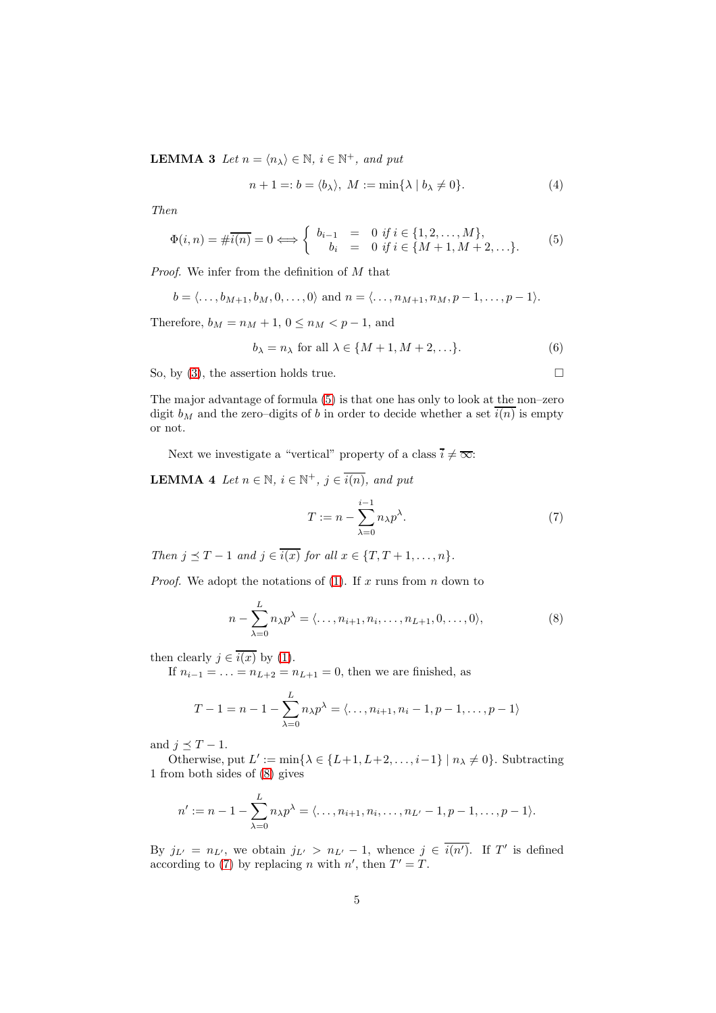**LEMMA 3** Let  $n = \langle n_{\lambda} \rangle \in \mathbb{N}$ ,  $i \in \mathbb{N}^{+}$ , and put

<span id="page-4-3"></span>
$$
n+1 =: b = \langle b_{\lambda} \rangle, \ M := \min\{\lambda \mid b_{\lambda} \neq 0\}.
$$
 (4)

Then

<span id="page-4-0"></span>
$$
\Phi(i,n) = \#\overline{i(n)} = 0 \Longleftrightarrow \begin{cases} b_{i-1} = 0 \text{ if } i \in \{1,2,\dots,M\}, \\ b_i = 0 \text{ if } i \in \{M+1,M+2,\dots\}. \end{cases}
$$
(5)

Proof. We infer from the definition of  $M$  that

$$
b = \langle \ldots, b_{M+1}, b_M, 0, \ldots, 0 \rangle
$$
 and  $n = \langle \ldots, n_{M+1}, n_M, p-1, \ldots, p-1 \rangle$ .

Therefore,  $b_M = n_M + 1$ ,  $0 \le n_M < p - 1$ , and

<span id="page-4-4"></span>
$$
b_{\lambda} = n_{\lambda} \text{ for all } \lambda \in \{M+1, M+2, \ldots\}.
$$
 (6)

So, by [\(3\)](#page-3-2), the assertion holds true.  $\Box$ 

The major advantage of formula [\(5\)](#page-4-0) is that one has only to look at the non–zero digit  $b_M$  and the zero–digits of b in order to decide whether a set  $\overline{i(n)}$  is empty or not.

<span id="page-4-5"></span>Next we investigate a "vertical" property of a class  $\overline{i} \neq \overline{\infty}$ :

**LEMMA** 4 Let  $n \in \mathbb{N}$ ,  $i \in \mathbb{N}^+$ ,  $j \in \overline{i(n)}$ , and put

<span id="page-4-2"></span>
$$
T := n - \sum_{\lambda=0}^{i-1} n_{\lambda} p^{\lambda}.
$$
 (7)

Then  $j \preceq T - 1$  and  $j \in \overline{i(x)}$  for all  $x \in \{T, T + 1, \ldots, n\}.$ 

*Proof.* We adopt the notations of [\(1\)](#page-3-0). If x runs from  $n$  down to

<span id="page-4-1"></span>
$$
n - \sum_{\lambda=0}^{L} n_{\lambda} p^{\lambda} = \langle \dots, n_{i+1}, n_i, \dots, n_{L+1}, 0, \dots, 0 \rangle,
$$
 (8)

then clearly  $j \in \overline{i(x)}$  by [\(1\)](#page-3-0).

If  $n_{i-1} = \ldots = n_{L+2} = n_{L+1} = 0$ , then we are finished, as

$$
T - 1 = n - 1 - \sum_{\lambda=0}^{L} n_{\lambda} p^{\lambda} = \langle \dots, n_{i+1}, n_i - 1, p - 1, \dots, p - 1 \rangle
$$

and  $j \preceq T - 1$ .

Otherwise, put  $L' := \min\{\lambda \in \{L+1, L+2, \ldots, i-1\} \mid n_{\lambda} \neq 0\}$ . Subtracting 1 from both sides of [\(8\)](#page-4-1) gives

$$
n' := n - 1 - \sum_{\lambda=0}^{L} n_{\lambda} p^{\lambda} = \langle \dots, n_{i+1}, n_i, \dots, n_{L'} - 1, p - 1, \dots, p - 1 \rangle.
$$

By  $j_{L'} = n_{L'}$ , we obtain  $j_{L'} > n_{L'} - 1$ , whence  $j \in \overline{i(n')}$ . If T' is defined according to [\(7\)](#page-4-2) by replacing n with n', then  $T' = T$ .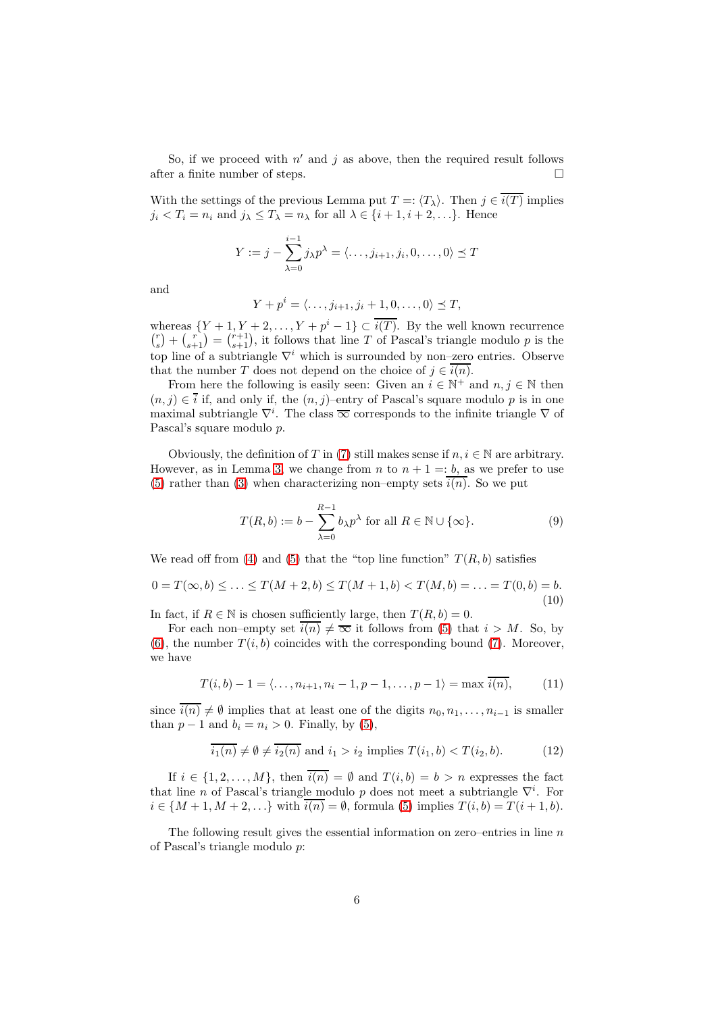So, if we proceed with  $n'$  and  $j$  as above, then the required result follows after a finite number of steps.  $\Box$ 

With the settings of the previous Lemma put  $T = \langle T_{\lambda} \rangle$ . Then  $j \in \overline{i(T)}$  implies  $j_i < T_i = n_i$  and  $j_{\lambda} \leq T_{\lambda} = n_{\lambda}$  for all  $\lambda \in \{i+1, i+2, \dots\}$ . Hence

$$
Y := j - \sum_{\lambda=0}^{i-1} j_{\lambda} p^{\lambda} = \langle \dots, j_{i+1}, j_i, 0, \dots, 0 \rangle \leq T
$$

and

$$
Y + pi = \langle \dots, j_{i+1}, j_i + 1, 0, \dots, 0 \rangle \preceq T,
$$

whereas  $\{Y+1, Y+2, \ldots, Y+p^{i}-1\} \subset \overline{i(T)}$ . By the well known recurrence  $\binom{r}{s} + \binom{r}{s+1} = \binom{r+1}{s+1}$ , it follows that line T of Pascal's triangle modulo p is the top line of a subtriangle  $\nabla^i$  which is surrounded by non–zero entries. Observe that the number T does not depend on the choice of  $j \in \overline{i(n)}$ .

From here the following is easily seen: Given an  $i \in \mathbb{N}^+$  and  $n, j \in \mathbb{N}$  then  $(n, j) \in \overline{i}$  if, and only if, the  $(n, j)$ –entry of Pascal's square modulo p is in one maximal subtriangle  $\nabla^i$ . The class  $\overline{\infty}$  corresponds to the infinite triangle  $\nabla$  of Pascal's square modulo p.

Obviously, the definition of T in [\(7\)](#page-4-2) still makes sense if  $n, i \in \mathbb{N}$  are arbitrary. However, as in Lemma [3,](#page-3-3) we change from n to  $n + 1 = b$ , as we prefer to use [\(5\)](#page-4-0) rather than [\(3\)](#page-3-2) when characterizing non–empty sets  $\overline{i(n)}$ . So we put

$$
T(R, b) := b - \sum_{\lambda=0}^{R-1} b_{\lambda} p^{\lambda} \text{ for all } R \in \mathbb{N} \cup \{\infty\}. \tag{9}
$$

We read off from [\(4\)](#page-4-3) and [\(5\)](#page-4-0) that the "top line function"  $T(R, b)$  satisfies

<span id="page-5-0"></span>
$$
0 = T(\infty, b) \le \dots \le T(M + 2, b) \le T(M + 1, b) < T(M, b) = \dots = T(0, b) = b. \tag{10}
$$

In fact, if  $R \in \mathbb{N}$  is chosen sufficiently large, then  $T(R, b) = 0$ .

For each non–empty set  $\overline{i(n)} \neq \overline{\infty}$  it follows from [\(5\)](#page-4-0) that  $i > M$ . So, by  $(6)$ , the number  $T(i, b)$  coincides with the corresponding bound [\(7\)](#page-4-2). Moreover, we have

<span id="page-5-2"></span>
$$
T(i, b) - 1 = \langle \dots, n_{i+1}, n_i - 1, p - 1, \dots, p - 1 \rangle = \max \overline{i(n)},
$$
 (11)

since  $\overline{i(n)} \neq \emptyset$  implies that at least one of the digits  $n_0, n_1, \ldots, n_{i-1}$  is smaller than  $p-1$  and  $b_i = n_i > 0$ . Finally, by [\(5\)](#page-4-0),

<span id="page-5-1"></span>
$$
\overline{i_1(n)} \neq \emptyset \neq \overline{i_2(n)}
$$
 and 
$$
i_1 > i_2
$$
 implies  $T(i_1, b) < T(i_2, b).$  (12)

If  $i \in \{1, 2, ..., M\}$ , then  $\overline{i(n)} = \emptyset$  and  $T(i, b) = b > n$  expresses the fact that line n of Pascal's triangle modulo p does not meet a subtriangle  $\nabla^i$ . For  $i \in \{M+1, M+2, ...\}$  with  $i(n) = \emptyset$ , formula [\(5\)](#page-4-0) implies  $T(i, b) = T(i+1, b)$ .

The following result gives the essential information on zero–entries in line  $n$ of Pascal's triangle modulo p: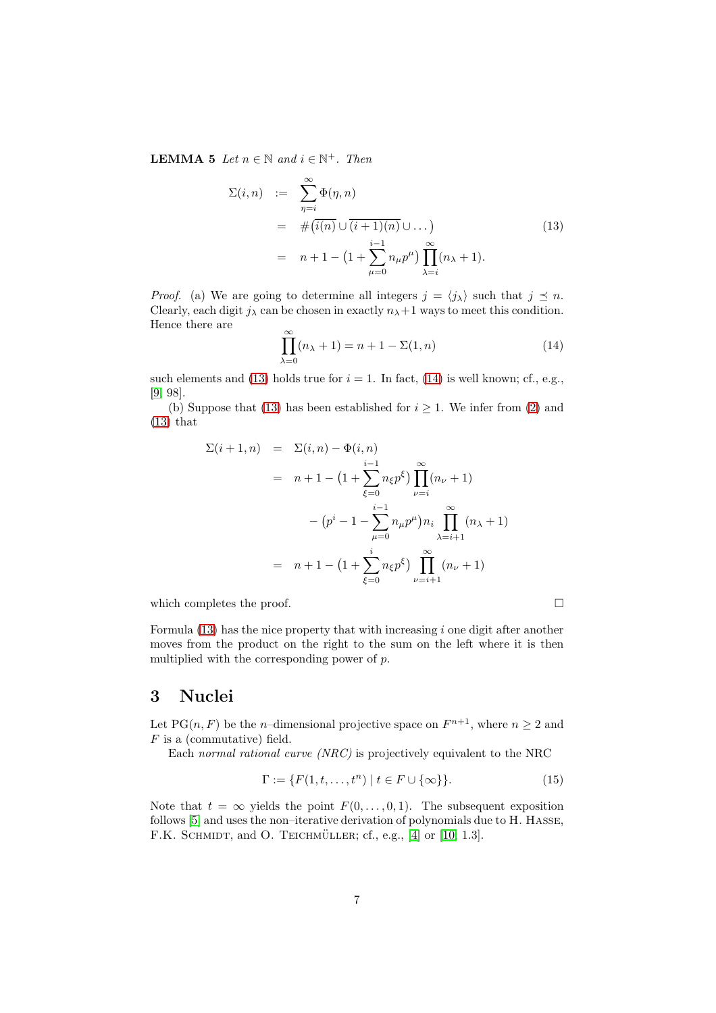**LEMMA 5** Let  $n \in \mathbb{N}$  and  $i \in \mathbb{N}^+$ . Then

<span id="page-6-1"></span>
$$
\Sigma(i, n) := \sum_{\eta=i}^{\infty} \Phi(\eta, n)
$$
  
=  $\#(i(n) \cup (i+1)(n) \cup ...)$   
=  $n+1 - (1 + \sum_{\mu=0}^{i-1} n_{\mu} p^{\mu}) \prod_{\lambda=i}^{\infty} (n_{\lambda} + 1).$  (13)

*Proof.* (a) We are going to determine all integers  $j = \langle j_{\lambda} \rangle$  such that  $j \leq n$ . Clearly, each digit  $j_{\lambda}$  can be chosen in exactly  $n_{\lambda}+1$  ways to meet this condition. Hence there are

<span id="page-6-2"></span>
$$
\prod_{\lambda=0}^{\infty} (n_{\lambda} + 1) = n + 1 - \Sigma(1, n)
$$
\n(14)

such elements and [\(13\)](#page-6-1) holds true for  $i = 1$ . In fact, [\(14\)](#page-6-2) is well known; cf., e.g., [\[9,](#page-12-7) 98].

(b) Suppose that [\(13\)](#page-6-1) has been established for  $i \geq 1$ . We infer from [\(2\)](#page-3-4) and  $(13)$  that

$$
\Sigma(i+1,n) = \Sigma(i,n) - \Phi(i,n)
$$
  
=  $n+1 - (1 + \sum_{\xi=0}^{i-1} n_{\xi} p^{\xi}) \prod_{\nu=i}^{\infty} (n_{\nu} + 1)$   
 $- (p^{i} - 1 - \sum_{\mu=0}^{i-1} n_{\mu} p^{\mu}) n_{i} \prod_{\lambda=i+1}^{\infty} (n_{\lambda} + 1)$   
=  $n+1 - (1 + \sum_{\xi=0}^{i} n_{\xi} p^{\xi}) \prod_{\nu=i+1}^{\infty} (n_{\nu} + 1)$ 

which completes the proof.  $\Box$ 

Formula  $(13)$  has the nice property that with increasing i one digit after another moves from the product on the right to the sum on the left where it is then multiplied with the corresponding power of p.

# <span id="page-6-0"></span>3 Nuclei

Let PG $(n, F)$  be the *n*-dimensional projective space on  $F^{n+1}$ , where  $n \geq 2$  and F is a (commutative) field.

Each normal rational curve (NRC) is projectively equivalent to the NRC

<span id="page-6-3"></span>
$$
\Gamma := \{ F(1, t, \dots, t^n) \mid t \in F \cup \{\infty\} \}.
$$
\n
$$
(15)
$$

Note that  $t = \infty$  yields the point  $F(0, \ldots, 0, 1)$ . The subsequent exposition follows [\[5\]](#page-12-9) and uses the non–iterative derivation of polynomials due to H. Hasse, F.K. SCHMIDT, and O. TEICHMÜLLER; cf., e.g.,  $[4]$  or  $[10, 1.3]$ .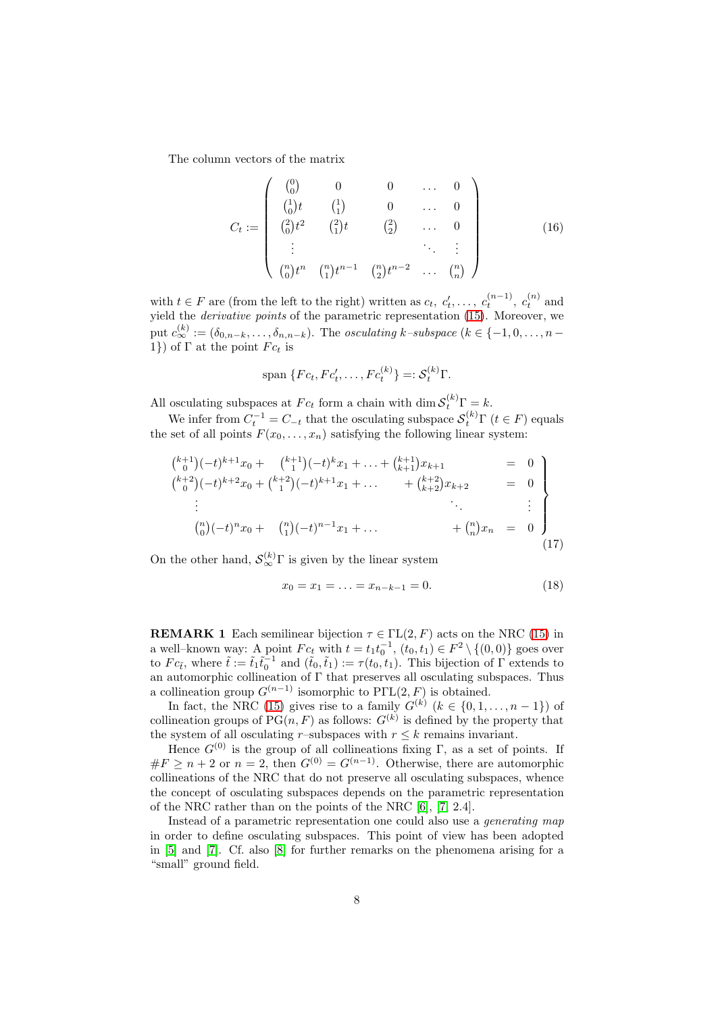The column vectors of the matrix

<span id="page-7-3"></span>
$$
C_{t} := \begin{pmatrix} \binom{0}{0} & 0 & 0 & \dots & 0 \\ \binom{1}{0}t & \binom{1}{1} & 0 & \dots & 0 \\ \binom{2}{0}t^{2} & \binom{2}{1}t & \binom{2}{2} & \dots & 0 \\ \vdots & \vdots & \ddots & \vdots & \vdots \\ \binom{n}{0}t^{n} & \binom{n}{1}t^{n-1} & \binom{n}{2}t^{n-2} & \dots & \binom{n}{n} \end{pmatrix}
$$
(16)

with  $t \in F$  are (from the left to the right) written as  $c_t, c'_t, \ldots, c_t^{(n-1)}, c_t^{(n)}$  and yield the *derivative points* of the parametric representation [\(15\)](#page-6-3). Moreover, we put  $c_{\infty}^{(k)} := (\delta_{0,n-k}, \ldots, \delta_{n,n-k})$ . The *osculating k–subspace* ( $k \in \{-1,0,\ldots,n-1\}$ 1}) of  $\Gamma$  at the point  $Fc_t$  is

$$
\text{span }\{Fc_t, Fc'_t, \dots, Fc_t^{(k)}\} =: \mathcal{S}_t^{(k)}\Gamma.
$$

All osculating subspaces at  $Fc_t$  form a chain with dim  $\mathcal{S}_t^{(k)}\Gamma = k$ .

We infer from  $C_t^{-1} = C_{-t}$  that the osculating subspace  $\mathcal{S}_t^{(k)}$   $\Gamma$  ( $t \in F$ ) equals the set of all points  $F(x_0, \ldots, x_n)$  satisfying the following linear system:

<span id="page-7-1"></span>
$$
{\binom{k+1}{0}} (-t)^{k+1} x_0 + {\binom{k+1}{1}} (-t)^k x_1 + \ldots + {\binom{k+1}{k+1}} x_{k+1} = 0
$$
  
\n
$$
{\binom{k+2}{0}} (-t)^{k+2} x_0 + {\binom{k+2}{1}} (-t)^{k+1} x_1 + \ldots + {\binom{k+2}{k+2}} x_{k+2} = 0
$$
  
\n
$$
\vdots
$$
  
\n
$$
{\binom{n}{0}} (-t)^n x_0 + {\binom{n}{1}} (-t)^{n-1} x_1 + \ldots + {\binom{n}{n}} x_n = 0
$$
  
\n(17)

On the other hand,  $\mathcal{S}_{\infty}^{(k)}$  is given by the linear system

<span id="page-7-0"></span>
$$
x_0 = x_1 = \ldots = x_{n-k-1} = 0. \tag{18}
$$

<span id="page-7-2"></span>**REMARK 1** Each semilinear bijection  $\tau \in \Gamma\mathcal{L}(2, F)$  acts on the NRC [\(15\)](#page-6-3) in a well-known way: A point  $Fc_t$  with  $t = t_1t_0^{-1}$ ,  $(t_0, t_1) \in F^2 \setminus \{(0, 0)\}$  goes over to  $Fc_{\tilde{t}}$ , where  $\tilde{t} := \tilde{t}_1\tilde{t}_0^{-1}$  and  $(\tilde{t}_0, \tilde{t}_1) := \tau(t_0, t_1)$ . This bijection of  $\Gamma$  extends to an automorphic collineation of Γ that preserves all osculating subspaces. Thus a collineation group  $G^{(n-1)}$  isomorphic to PΓL(2, F) is obtained.

In fact, the NRC [\(15\)](#page-6-3) gives rise to a family  $G^{(k)}$   $(k \in \{0, 1, ..., n-1\})$  of collineation groups of  $PG(n, F)$  as follows:  $G^{(k)}$  is defined by the property that the system of all osculating r–subspaces with  $r \leq k$  remains invariant.

Hence  $G^{(0)}$  is the group of all collineations fixing Γ, as a set of points. If  $#F \geq n+2$  or  $n=2$ , then  $G^{(0)} = G^{(n-1)}$ . Otherwise, there are automorphic collineations of the NRC that do not preserve all osculating subspaces, whence the concept of osculating subspaces depends on the parametric representation of the NRC rather than on the points of the NRC [\[6\]](#page-12-12), [\[7,](#page-12-13) 2.4].

Instead of a parametric representation one could also use a generating map in order to define osculating subspaces. This point of view has been adopted in [\[5\]](#page-12-9) and [\[7\]](#page-12-13). Cf. also [\[8\]](#page-12-3) for further remarks on the phenomena arising for a "small" ground field.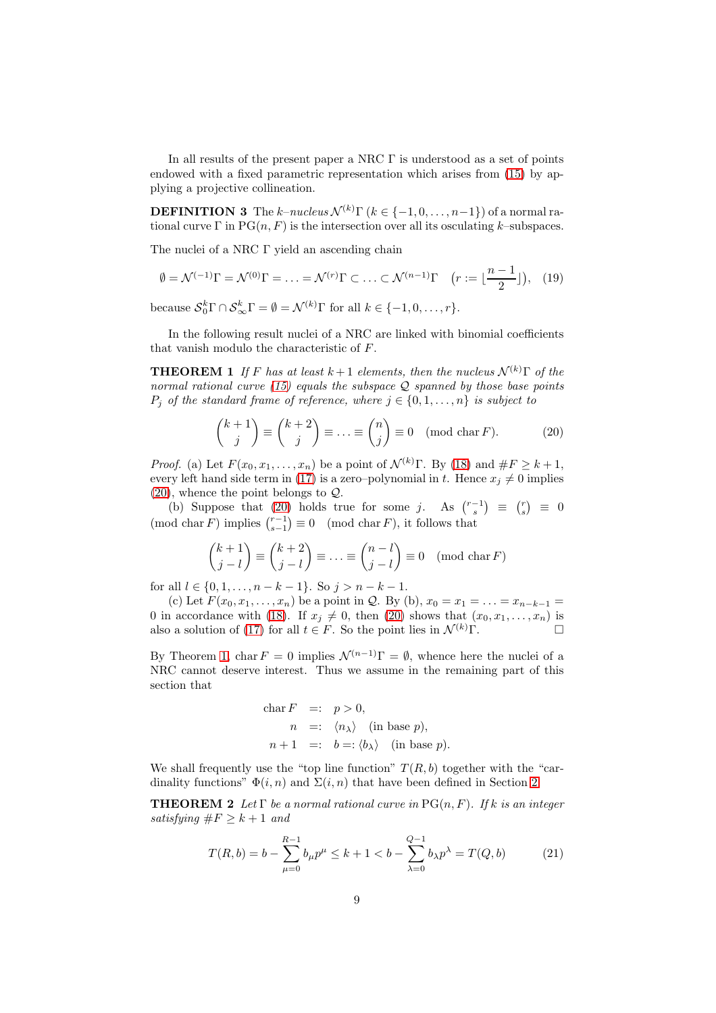In all results of the present paper a NRC Γ is understood as a set of points endowed with a fixed parametric representation which arises from [\(15\)](#page-6-3) by applying a projective collineation.

**DEFINITION 3** The k–nucleus  $\mathcal{N}^{(k)}\Gamma$  ( $k \in \{-1, 0, \ldots, n-1\}$ ) of a normal rational curve  $\Gamma$  in  $PG(n, F)$  is the intersection over all its osculating k–subspaces.

The nuclei of a NRC Γ yield an ascending chain

<span id="page-8-3"></span>
$$
\emptyset = \mathcal{N}^{(-1)}\Gamma = \mathcal{N}^{(0)}\Gamma = \ldots = \mathcal{N}^{(r)}\Gamma \subset \ldots \subset \mathcal{N}^{(n-1)}\Gamma \quad (r := \lfloor \frac{n-1}{2} \rfloor), \tag{19}
$$

because  $S_0^k \Gamma \cap S_\infty^k \Gamma = \emptyset = \mathcal{N}^{(k)} \Gamma$  for all  $k \in \{-1, 0, \ldots, r\}.$ 

<span id="page-8-1"></span>In the following result nuclei of a NRC are linked with binomial coefficients that vanish modulo the characteristic of F.

**THEOREM 1** If F has at least  $k+1$  elements, then the nucleus  $\mathcal{N}^{(k)}\Gamma$  of the normal rational curve  $(15)$  equals the subspace  $\mathcal Q$  spanned by those base points  $P_j$  of the standard frame of reference, where  $j \in \{0, 1, ..., n\}$  is subject to

<span id="page-8-0"></span>
$$
\binom{k+1}{j} \equiv \binom{k+2}{j} \equiv \ldots \equiv \binom{n}{j} \equiv 0 \pmod{\text{char } F}.
$$
 (20)

*Proof.* (a) Let  $F(x_0, x_1, \ldots, x_n)$  be a point of  $\mathcal{N}^{(k)}$ Γ. By [\(18\)](#page-7-0) and  $\#F \geq k+1$ , every left hand side term in [\(17\)](#page-7-1) is a zero–polynomial in t. Hence  $x_j \neq 0$  implies  $(20)$ , whence the point belongs to  $Q$ .

(b) Suppose that [\(20\)](#page-8-0) holds true for some j. As  $\binom{r-1}{s} \equiv \binom{r}{s} \equiv 0$  $p(\text{mod char } F)$  implies  $\binom{r-1}{s-1} \equiv 0 \pmod{\text{char } F}$ , it follows that

$$
\binom{k+1}{j-l} \equiv \binom{k+2}{j-l} \equiv \ldots \equiv \binom{n-l}{j-l} \equiv 0 \pmod{\text{char } F}
$$

for all  $l \in \{0, 1, \ldots, n - k - 1\}$ . So  $j > n - k - 1$ .

(c) Let  $F(x_0, x_1, \ldots, x_n)$  be a point in Q. By (b),  $x_0 = x_1 = \ldots = x_{n-k-1}$ 0 in accordance with [\(18\)](#page-7-0). If  $x_j \neq 0$ , then [\(20\)](#page-8-0) shows that  $(x_0, x_1, \ldots, x_n)$  is also a solution of [\(17\)](#page-7-1) for all  $t \in F$ . So the point lies in  $\mathcal{N}^{(k)}\Gamma$ .

By Theorem [1,](#page-8-1) char  $F = 0$  implies  $\mathcal{N}^{(n-1)}\Gamma = \emptyset$ , whence here the nuclei of a NRC cannot deserve interest. Thus we assume in the remaining part of this section that

<span id="page-8-4"></span>
$$
\begin{aligned}\n\text{char } F &=: p > 0, \\
n &=: \langle n_{\lambda} \rangle \quad \text{(in base } p), \\
n+1 &=: b =: \langle b_{\lambda} \rangle \quad \text{(in base } p). \n\end{aligned}
$$

We shall frequently use the "top line function"  $T(R, b)$  together with the "cardinality functions"  $\Phi(i, n)$  and  $\Sigma(i, n)$  that have been defined in Section [2.](#page-1-0)

**THEOREM 2** Let  $\Gamma$  be a normal rational curve in PG(n, F). If k is an integer satisfying  $\#F \geq k+1$  and

<span id="page-8-2"></span>
$$
T(R,b) = b - \sum_{\mu=0}^{R-1} b_{\mu} p^{\mu} \le k + 1 < b - \sum_{\lambda=0}^{Q-1} b_{\lambda} p^{\lambda} = T(Q,b)
$$
 (21)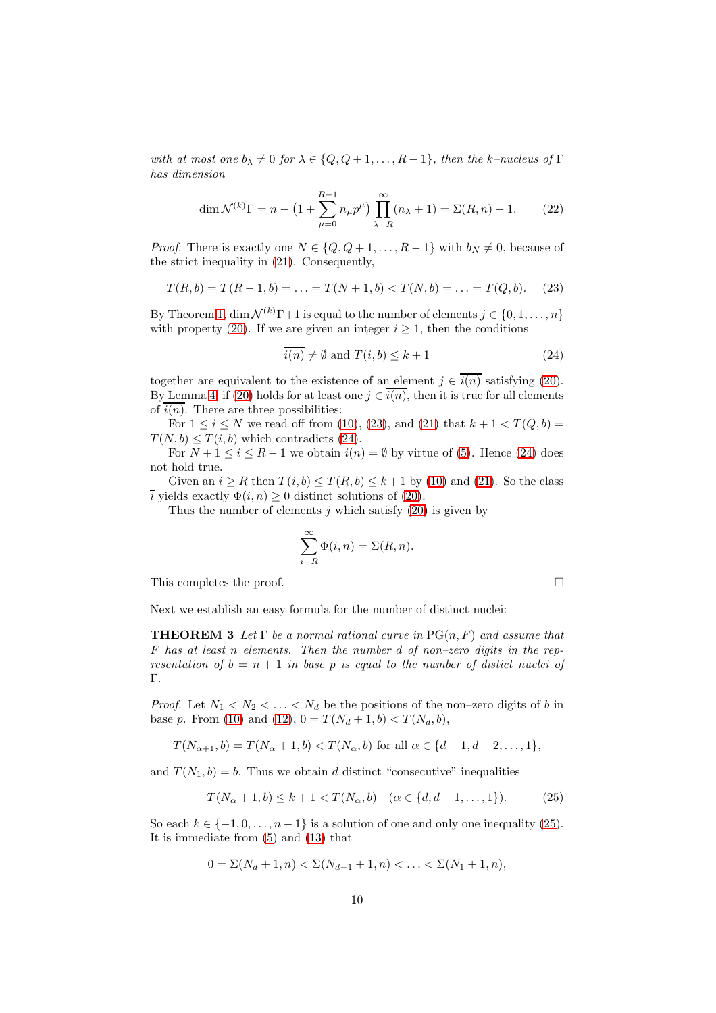with at most one  $b_{\lambda} \neq 0$  for  $\lambda \in \{Q, Q+1, \ldots, R-1\}$ , then the k–nucleus of  $\Gamma$ has dimension

<span id="page-9-3"></span>
$$
\dim \mathcal{N}^{(k)}\Gamma = n - \left(1 + \sum_{\mu=0}^{R-1} n_{\mu} p^{\mu}\right) \prod_{\lambda=R}^{\infty} (n_{\lambda} + 1) = \Sigma(R, n) - 1.
$$
 (22)

*Proof.* There is exactly one  $N \in \{Q, Q+1, \ldots, R-1\}$  with  $b_N \neq 0$ , because of the strict inequality in [\(21\)](#page-8-2). Consequently,

<span id="page-9-0"></span>
$$
T(R, b) = T(R - 1, b) = \dots = T(N + 1, b) < T(N, b) = \dots = T(Q, b). \tag{23}
$$

By Theorem [1,](#page-8-1) dim  $\mathcal{N}^{(k)}\Gamma+1$  is equal to the number of elements  $j \in \{0, 1, ..., n\}$ with property [\(20\)](#page-8-0). If we are given an integer  $i \geq 1$ , then the conditions

<span id="page-9-1"></span>
$$
\overline{i(n)} \neq \emptyset \text{ and } T(i, b) \leq k+1 \tag{24}
$$

together are equivalent to the existence of an element  $j \in \overline{i(n)}$  satisfying [\(20\)](#page-8-0). By Lemma [4,](#page-4-5) if [\(20\)](#page-8-0) holds for at least one  $j \in \overline{i(n)}$ , then it is true for all elements of  $i(n)$ . There are three possibilities:

For  $1 \le i \le N$  we read off from [\(10\)](#page-5-0), [\(23\)](#page-9-0), and [\(21\)](#page-8-2) that  $k + 1 < T(Q, b) =$  $T(N, b) \leq T(i, b)$  which contradicts [\(24\)](#page-9-1).

For  $N + 1 \leq i \leq R - 1$  we obtain  $\overline{i(n)} = \emptyset$  by virtue of [\(5\)](#page-4-0). Hence [\(24\)](#page-9-1) does not hold true.

Given an  $i \geq R$  then  $T(i, b) \leq T(R, b) \leq k+1$  by [\(10\)](#page-5-0) and [\(21\)](#page-8-2). So the class  $\overline{i}$  yields exactly  $\Phi(i, n) \geq 0$  distinct solutions of [\(20\)](#page-8-0).

Thus the number of elements  $j$  which satisfy [\(20\)](#page-8-0) is given by

$$
\sum_{i=R}^{\infty} \Phi(i, n) = \Sigma(R, n).
$$

This completes the proof.

<span id="page-9-4"></span>Next we establish an easy formula for the number of distinct nuclei:

**THEOREM 3** Let  $\Gamma$  be a normal rational curve in  $PG(n, F)$  and assume that F has at least n elements. Then the number d of non–zero digits in the representation of  $b = n + 1$  in base p is equal to the number of distict nuclei of Γ.

*Proof.* Let  $N_1 < N_2 < \ldots < N_d$  be the positions of the non-zero digits of b in base p. From [\(10\)](#page-5-0) and [\(12\)](#page-5-1),  $0 = T(N_d + 1, b) < T(N_d, b)$ ,

$$
T(N_{\alpha+1},b) = T(N_{\alpha}+1,b) < T(N_{\alpha},b) \text{ for all } \alpha \in \{d-1,d-2,\ldots,1\},
$$

and  $T(N_1, b) = b$ . Thus we obtain d distinct "consecutive" inequalities

<span id="page-9-2"></span>
$$
T(N_{\alpha} + 1, b) \le k + 1 < T(N_{\alpha}, b) \quad (\alpha \in \{d, d - 1, \dots, 1\}).\tag{25}
$$

So each  $k \in \{-1, 0, \ldots, n-1\}$  is a solution of one and only one inequality [\(25\)](#page-9-2). It is immediate from [\(5\)](#page-4-0) and [\(13\)](#page-6-1) that

$$
0 = \Sigma(N_d + 1, n) < \Sigma(N_{d-1} + 1, n) < \ldots < \Sigma(N_1 + 1, n),
$$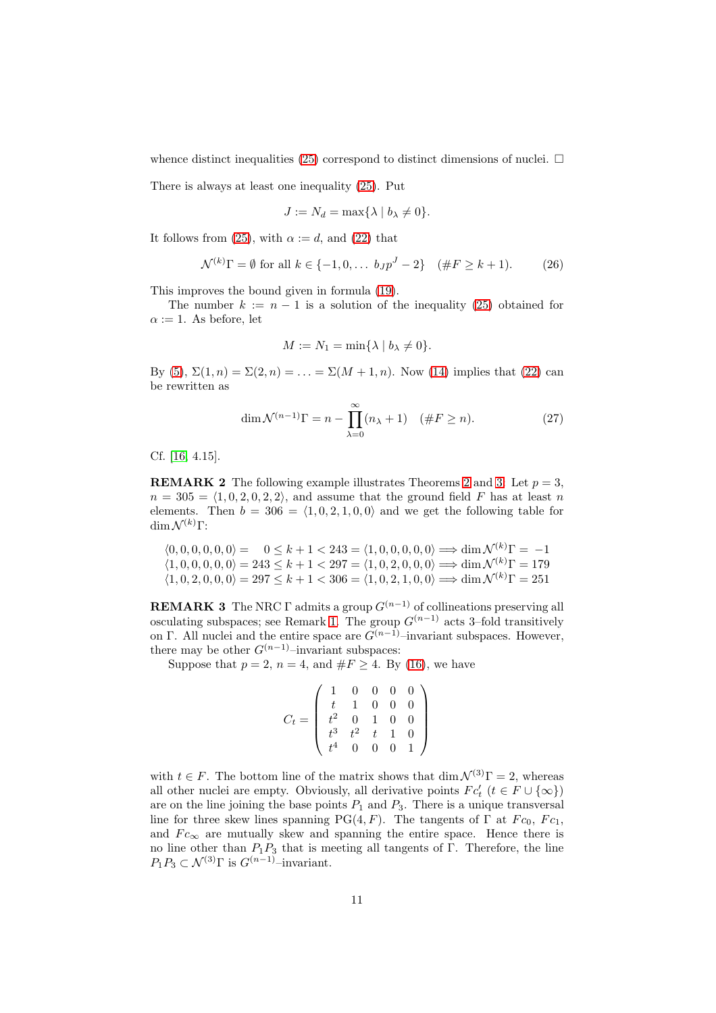whence distinct inequalities [\(25\)](#page-9-2) correspond to distinct dimensions of nuclei.  $\Box$ 

There is always at least one inequality [\(25\)](#page-9-2). Put

$$
J := N_d = \max\{\lambda \mid b_\lambda \neq 0\}.
$$

It follows from [\(25\)](#page-9-2), with  $\alpha := d$ , and [\(22\)](#page-9-3) that

$$
\mathcal{N}^{(k)}\Gamma = \emptyset \text{ for all } k \in \{-1, 0, \dots b_J p^J - 2\} \quad (\#F \ge k+1). \tag{26}
$$

This improves the bound given in formula [\(19\)](#page-8-3).

The number  $k := n - 1$  is a solution of the inequality [\(25\)](#page-9-2) obtained for  $\alpha := 1$ . As before, let

$$
M := N_1 = \min\{\lambda \mid b_\lambda \neq 0\}.
$$

By [\(5\)](#page-4-0),  $\Sigma(1, n) = \Sigma(2, n) = \ldots = \Sigma(M + 1, n)$ . Now [\(14\)](#page-6-2) implies that [\(22\)](#page-9-3) can be rewritten as

$$
\dim \mathcal{N}^{(n-1)}\Gamma = n - \prod_{\lambda=0}^{\infty} (n_{\lambda} + 1) \quad (\#F \ge n). \tag{27}
$$

Cf. [\[16,](#page-12-0) 4.15].

**REMARK [2](#page-8-4)** The following example illustrates Theorems 2 and [3:](#page-9-4) Let  $p = 3$ .  $n = 305 = \langle 1, 0, 2, 0, 2, 2 \rangle$ , and assume that the ground field F has at least n elements. Then  $b = 306 = \langle 1, 0, 2, 1, 0, 0 \rangle$  and we get the following table for dim  $\mathcal{N}^{(k)}$ Γ:

$$
\langle 0, 0, 0, 0, 0, 0 \rangle = 0 \le k + 1 < 243 = \langle 1, 0, 0, 0, 0, 0 \rangle \implies \dim \mathcal{N}^{(k)}\Gamma = -1
$$
  

$$
\langle 1, 0, 0, 0, 0, 0 \rangle = 243 \le k + 1 < 297 = \langle 1, 0, 2, 0, 0, 0 \rangle \implies \dim \mathcal{N}^{(k)}\Gamma = 179
$$
  

$$
\langle 1, 0, 2, 0, 0, 0 \rangle = 297 \le k + 1 < 306 = \langle 1, 0, 2, 1, 0, 0 \rangle \implies \dim \mathcal{N}^{(k)}\Gamma = 251
$$

**REMARK 3** The NRC Γ admits a group  $G^{(n-1)}$  of collineations preserving all osculating subspaces; see Remark [1.](#page-7-2) The group  $G^{(n-1)}$  acts 3–fold transitively on Γ. All nuclei and the entire space are  $G^{(n-1)}$ –invariant subspaces. However, there may be other  $G^{(n-1)}$ –invariant subspaces:

Suppose that  $p = 2$ ,  $n = 4$ , and  $\#F \geq 4$ . By [\(16\)](#page-7-3), we have

$$
C_t = \left(\begin{array}{cccccc} 1 & 0 & 0 & 0 & 0 \\ t & 1 & 0 & 0 & 0 \\ t^2 & 0 & 1 & 0 & 0 \\ t^3 & t^2 & t & 1 & 0 \\ t^4 & 0 & 0 & 0 & 1 \end{array}\right)
$$

with  $t \in F$ . The bottom line of the matrix shows that  $\dim \mathcal{N}^{(3)}\Gamma = 2$ , whereas all other nuclei are empty. Obviously, all derivative points  $Fc'_t$   $(t \in F \cup \{\infty\})$ are on the line joining the base points  $P_1$  and  $P_3$ . There is a unique transversal line for three skew lines spanning PG(4, F). The tangents of  $\Gamma$  at  $Fc_0$ ,  $Fc_1$ , and  $Fc_\infty$  are mutually skew and spanning the entire space. Hence there is no line other than  $P_1P_3$  that is meeting all tangents of Γ. Therefore, the line  $P_1P_3 \subset \mathcal{N}^{(3)}\Gamma$  is  $G^{(n-1)}$ –invariant.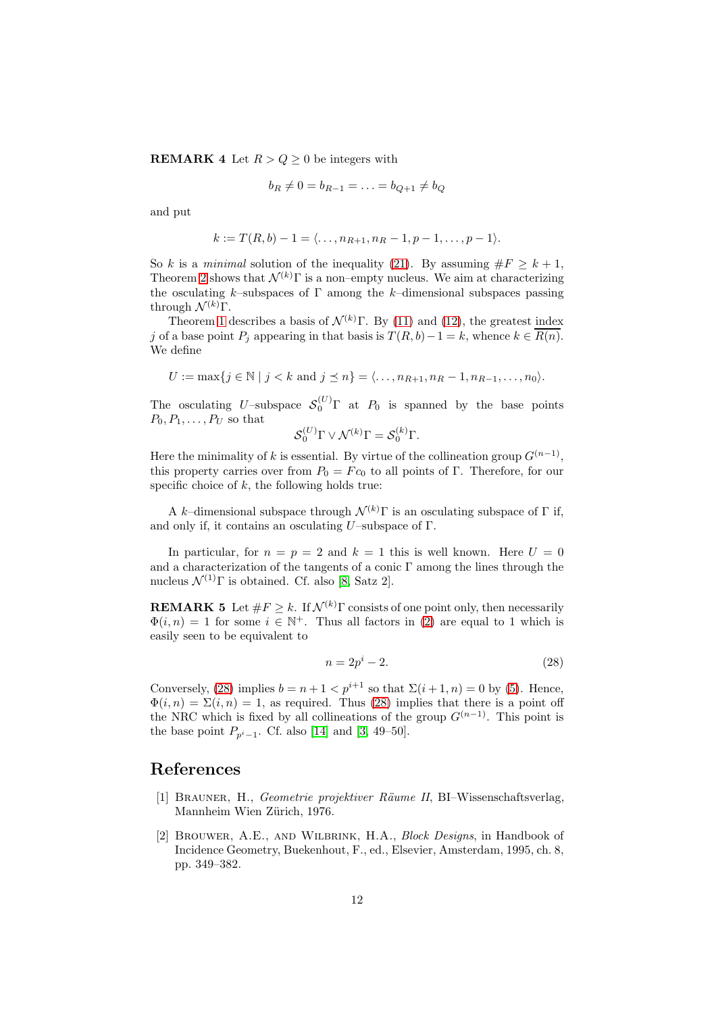**REMARK 4** Let  $R > Q \geq 0$  be integers with

$$
b_R \neq 0 = b_{R-1} = \ldots = b_{Q+1} \neq b_Q
$$

and put

$$
k := T(R, b) - 1 = \langle \dots, n_{R+1}, n_R - 1, p - 1, \dots, p - 1 \rangle.
$$

So k is a minimal solution of the inequality [\(21\)](#page-8-2). By assuming  $\#F \geq k+1$ , Theorem [2](#page-8-4) shows that  $\mathcal{N}^{(k)}$ Γ is a non–empty nucleus. We aim at characterizing the osculating k–subspaces of  $\Gamma$  among the k–dimensional subspaces passing through  $\mathcal{N}^{(k)}$ Γ.

Theorem [1](#page-8-1) describes a basis of  $\mathcal{N}^{(k)}$ Γ. By [\(11\)](#page-5-2) and [\(12\)](#page-5-1), the greatest index j of a base point  $P_i$  appearing in that basis is  $T(R, b)-1=k$ , whence  $k \in \overline{R(n)}$ . We define

$$
U := \max\{j \in \mathbb{N} \mid j < k \text{ and } j \leq n\} = \langle \dots, n_{R+1}, n_R - 1, n_{R-1}, \dots, n_0 \rangle.
$$

The osculating U–subspace  $S_0^{(U)}$  at  $P_0$  is spanned by the base points  $P_0, P_1, \ldots, P_U$  so that

$$
\mathcal{S}_0^{(U)} \Gamma \vee \mathcal{N}^{(k)} \Gamma = \mathcal{S}_0^{(k)} \Gamma.
$$

Here the minimality of k is essential. By virtue of the collineation group  $G^{(n-1)}$ , this property carries over from  $P_0 = F c_0$  to all points of Γ. Therefore, for our specific choice of  $k$ , the following holds true:

A k–dimensional subspace through  $\mathcal{N}^{(k)}$ Γ is an osculating subspace of Γ if, and only if, it contains an osculating U–subspace of  $\Gamma$ .

In particular, for  $n = p = 2$  and  $k = 1$  this is well known. Here  $U = 0$ and a characterization of the tangents of a conic  $\Gamma$  among the lines through the nucleus  $\mathcal{N}^{(1)}\Gamma$  is obtained. Cf. also [\[8,](#page-12-3) Satz 2].

**REMARK 5** Let  $\#F > k$ . If  $\mathcal{N}^{(k)}\Gamma$  consists of one point only, then necessarily  $\Phi(i,n) = 1$  for some  $i \in \mathbb{N}^+$ . Thus all factors in [\(2\)](#page-3-4) are equal to 1 which is easily seen to be equivalent to

<span id="page-11-2"></span>
$$
n = 2p^i - 2.\tag{28}
$$

Conversely, [\(28\)](#page-11-2) implies  $b = n + 1 < p^{i+1}$  so that  $\Sigma(i+1, n) = 0$  by [\(5\)](#page-4-0). Hence,  $\Phi(i, n) = \Sigma(i, n) = 1$ , as required. Thus [\(28\)](#page-11-2) implies that there is a point off the NRC which is fixed by all collineations of the group  $G^{(n-1)}$ . This point is the base point  $P_{p^{i}-1}$ . Cf. also [\[14\]](#page-12-5) and [\[3,](#page-12-2) 49–50].

## <span id="page-11-0"></span>References

- [1] BRAUNER, H., Geometrie projektiver Räume II, BI–Wissenschaftsverlag, Mannheim Wien Zürich, 1976.
- <span id="page-11-1"></span>[2] Brouwer, A.E., and Wilbrink, H.A., Block Designs, in Handbook of Incidence Geometry, Buekenhout, F., ed., Elsevier, Amsterdam, 1995, ch. 8, pp. 349–382.